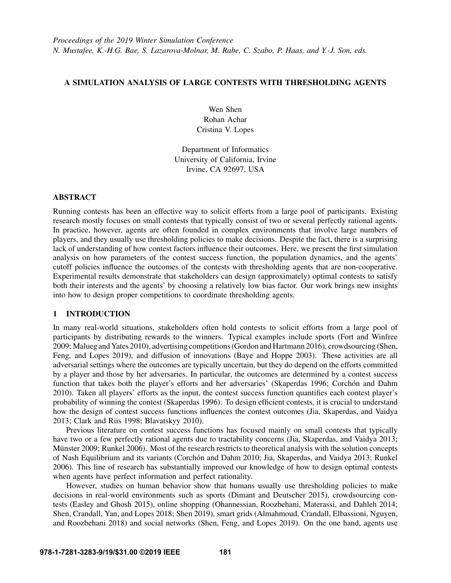# A SIMULATION ANALYSIS OF LARGE CONTESTS WITH THRESHOLDING AGENTS

Wen Shen Rohan Achar Cristina V. Lopes

Department of Informatics University of California, Irvine Irvine, CA 92697, USA

# ABSTRACT

Running contests has been an effective way to solicit efforts from a large pool of participants. Existing research mostly focuses on small contests that typically consist of two or several perfectly rational agents. In practice, however, agents are often founded in complex environments that involve large numbers of players, and they usually use thresholding policies to make decisions. Despite the fact, there is a surprising lack of understanding of how contest factors influence their outcomes. Here, we present the first simulation analysis on how parameters of the contest success function, the population dynamics, and the agents' cutoff policies influence the outcomes of the contests with thresholding agents that are non-cooperative. Experimental results demonstrate that stakeholders can design (approximately) optimal contests to satisfy both their interests and the agents' by choosing a relatively low bias factor. Our work brings new insights into how to design proper competitions to coordinate thresholding agents.

# 1 INTRODUCTION

In many real-world situations, stakeholders often hold contests to solicit efforts from a large pool of participants by distributing rewards to the winners. Typical examples include sports [\(Fort and Winfree](#page-10-0) [2009;](#page-10-0) [Malueg and Yates 2010\)](#page-11-0), advertising competitions [\(Gordon and Hartmann 2016\)](#page-10-1), crowdsourcing [\(Shen,](#page-11-1) [Feng, and Lopes 2019\)](#page-11-1), and diffusion of innovations [\(Baye and Hoppe 2003\)](#page-10-2). These activities are all adversarial settings where the outcomes are typically uncertain, but they do depend on the efforts committed by a player and those by her adversaries. In particular, the outcomes are determined by a contest success function that takes both the player's efforts and her adversaries' [\(Skaperdas 1996;](#page-11-2) Corchón and Dahm [2010\)](#page-10-3). Taken all players' efforts as the input, the contest success function quantifies each contest player's probability of winning the contest [\(Skaperdas 1996\)](#page-11-2). To design efficient contests, it is crucial to understand how the design of contest success functions influences the contest outcomes [\(Jia, Skaperdas, and Vaidya](#page-11-3) [2013;](#page-11-3) [Clark and Riis 1998;](#page-10-4) [Blavatskyy 2010\)](#page-10-5).

Previous literature on contest success functions has focused mainly on small contests that typically have two or a few perfectly rational agents due to tractability concerns [\(Jia, Skaperdas, and Vaidya 2013;](#page-11-3) Münster 2009; [Runkel 2006\)](#page-11-5). Most of the research restricts to theoretical analysis with the solution concepts of Nash Equilibrium and its variants (Corchón and Dahm 2010; [Jia, Skaperdas, and Vaidya 2013;](#page-11-3) [Runkel](#page-11-5) [2006\)](#page-11-5). This line of research has substantially improved our knowledge of how to design optimal contests when agents have perfect information and perfect rationality.

However, studies on human behavior show that humans usually use thresholding policies to make decisions in real-world environments such as sports [\(Dimant and Deutscher 2015\)](#page-10-6), crowdsourcing contests [\(Easley and Ghosh 2015\)](#page-10-7), online shopping [\(Ohannessian, Roozbehani, Materassi, and Dahleh 2014;](#page-11-6) [Shen, Crandall, Yan, and Lopes 2018;](#page-11-7) [Shen 2019\)](#page-11-8), smart grids [\(Almahmoud, Crandall, Elbassioni, Nguyen,](#page-10-8) [and Roozbehani 2018\)](#page-10-8) and social networks [\(Shen, Feng, and Lopes 2019\)](#page-11-1). On the one hand, agents use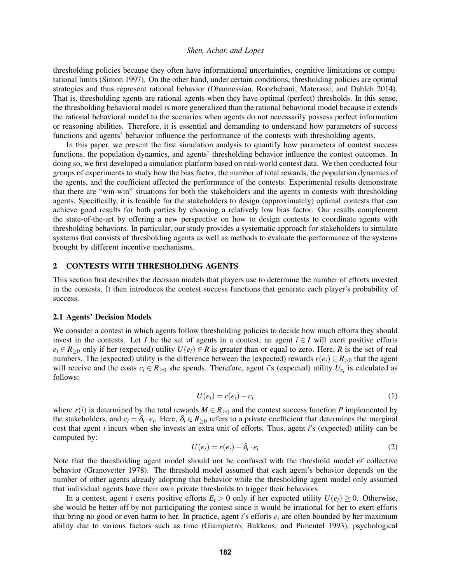thresholding policies because they often have informational uncertainties, cognitive limitations or computational limits [\(Simon 1997\)](#page-11-9). On the other hand, under certain conditions, thresholding policies are optimal strategies and thus represent rational behavior [\(Ohannessian, Roozbehani, Materassi, and Dahleh 2014\)](#page-11-6). That is, thresholding agents are rational agents when they have optimal (perfect) thresholds. In this sense, the thresholding behavioral model is more generalized than the rational behavioral model because it extends the rational behavioral model to the scenarios when agents do not necessarily possess perfect information or reasoning abilities. Therefore, it is essential and demanding to understand how parameters of success functions and agents' behavior influence the performance of the contests with thresholding agents.

In this paper, we present the first simulation analysis to quantify how parameters of contest success functions, the population dynamics, and agents' thresholding behavior influence the contest outcomes. In doing so, we first developed a simulation platform based on real-world contest data. We then conducted four groups of experiments to study how the bias factor, the number of total rewards, the population dynamics of the agents, and the coefficient affected the performance of the contests. Experimental results demonstrate that there are "win-win" situations for both the stakeholders and the agents in contests with thresholding agents. Specifically, it is feasible for the stakeholders to design (approximately) optimal contests that can achieve good results for both parties by choosing a relatively low bias factor. Our results complement the state-of-the-art by offering a new perspective on how to design contests to coordinate agents with thresholding behaviors. In particular, our study provides a systematic approach for stakeholders to simulate systems that consists of thresholding agents as well as methods to evaluate the performance of the systems brought by different incentive mechanisms.

# 2 CONTESTS WITH THRESHOLDING AGENTS

This section first describes the decision models that players use to determine the number of efforts invested in the contests. It then introduces the contest success functions that generate each player's probability of success.

### 2.1 Agents' Decision Models

We consider a contest in which agents follow thresholding policies to decide how much efforts they should invest in the contests. Let *I* be the set of agents in a contest, an agent  $i \in I$  will exert positive efforts  $e_i \in R_{\geq 0}$  only if her (expected) utility  $U(e_i) \in R$  is greater than or equal to zero. Here, *R* is the set of real numbers. The (expected) utility is the difference between the (expected) rewards  $r(e_i) \in R_{\geq 0}$  that the agent will receive and the costs  $c_i \in R_{\geq 0}$  she spends. Therefore, agent *i*'s (expected) utility  $U_{e_i}$  is calculated as follows:

$$
U(e_i) = r(e_i) - c_i \tag{1}
$$

where  $r(i)$  is determined by the total rewards  $M \in R_{\geq 0}$  and the contest success function *P* implemented by the stakeholders, and  $c_i = \delta_i \cdot e_i$ . Here,  $\delta_i \in R_{\geq 0}$  refers to a private coefficient that determines the marginal cost that agent *i* incurs when she invests an extra unit of efforts. Thus, agent *i*'s (expected) utility can be computed by:

<span id="page-1-0"></span>
$$
U(e_i) = r(e_i) - \delta_i \cdot e_i \tag{2}
$$

Note that the thresholding agent model should not be confused with the threshold model of collective behavior [\(Granovetter 1978\)](#page-10-9). The threshold model assumed that each agent's behavior depends on the number of other agents already adopting that behavior while the thresholding agent model only assumed that individual agents have their own private thresholds to trigger their behaviors.

In a contest, agent *i* exerts positive efforts  $E_i > 0$  only if her expected utility  $U(e_i) \geq 0$ . Otherwise, she would be better off by not participating the contest since it would be irrational for her to exert efforts that bring no good or even harm to her. In practice, agent *i*'s efforts *e<sup>i</sup>* are often bounded by her maximum ability due to various factors such as time [\(Giampietro, Bukkens, and Pimentel 1993\)](#page-10-10), psychological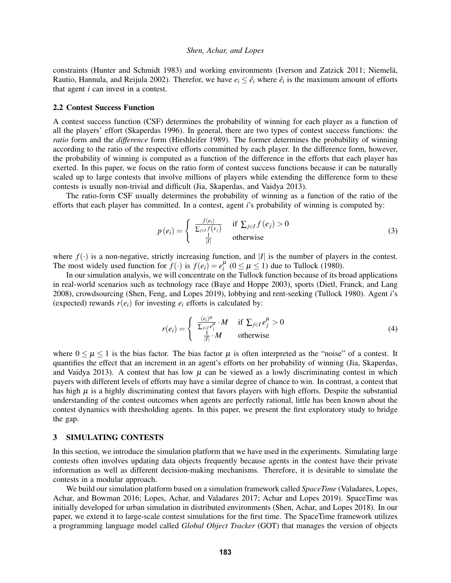constraints [\(Hunter and Schmidt 1983\)](#page-11-10) and working environments [\(Iverson and Zatzick 2011;](#page-11-11) Niemelä, [Rautio, Hannula, and Reijula 2002\)](#page-11-12). Therefor, we have  $e_i \leq \hat{e}_i$  where  $\hat{e}_i$  is the maximum amount of efforts that agent *i* can invest in a contest.

### 2.2 Contest Success Function

A contest success function (CSF) determines the probability of winning for each player as a function of all the players' effort [\(Skaperdas 1996\)](#page-11-2). In general, there are two types of contest success functions: the *ratio* form and the *difference* form [\(Hirshleifer 1989\)](#page-11-13). The former determines the probability of winning according to the ratio of the respective efforts committed by each player. In the difference form, however, the probability of winning is computed as a function of the difference in the efforts that each player has exerted. In this paper, we focus on the ratio form of contest success functions because it can be naturally scaled up to large contests that involve millions of players while extending the difference form to these contests is usually non-trivial and difficult [\(Jia, Skaperdas, and Vaidya 2013\)](#page-11-3).

The ratio-form CSF usually determines the probability of winning as a function of the ratio of the efforts that each player has committed. In a contest, agent *i*'s probability of winning is computed by:

$$
p(e_i) = \begin{cases} \frac{f(e_i)}{\sum_{j \in I} f(e_j)} & \text{if } \sum_{j \in I} f(e_j) > 0\\ \frac{1}{|I|} & \text{otherwise} \end{cases}
$$
 (3)

where  $f(\cdot)$  is a non-negative, strictly increasing function, and |*I*| is the number of players in the contest. The most widely used function for  $f(\cdot)$  is  $f(e_i) = e_i^{\mu}$   $(0 \le \mu \le 1)$  due to Tullock [\(1980\)](#page-11-14).

In our simulation analysis, we will concentrate on the Tullock function because of its broad applications in real-world scenarios such as technology race [\(Baye and Hoppe 2003\)](#page-10-2), sports [\(Dietl, Franck, and Lang](#page-10-11) [2008\)](#page-10-11), crowdsourcing [\(Shen, Feng, and Lopes 2019\)](#page-11-1), lobbying and rent-seeking [\(Tullock 1980\)](#page-11-14). Agent *i*'s (expected) rewards  $r(e_i)$  for investing  $e_i$  efforts is calculated by:

$$
r(e_i) = \begin{cases} \frac{(e_i)^{\mu}}{\sum_{j \in I} e_j^{\mu}} \cdot M & \text{if } \sum_{j \in I} e_j^{\mu} > 0\\ \frac{1}{|I|} \cdot M & \text{otherwise} \end{cases}
$$
(4)

where  $0 \leq \mu \leq 1$  is the bias factor. The bias factor  $\mu$  is often interpreted as the "noise" of a contest. It quantifies the effect that an increment in an agent's efforts on her probability of winning [\(Jia, Skaperdas,](#page-11-3) [and Vaidya 2013\)](#page-11-3). A contest that has low  $\mu$  can be viewed as a lowly discriminating contest in which payers with different levels of efforts may have a similar degree of chance to win. In contrast, a contest that has high  $\mu$  is a highly discriminating contest that favors players with high efforts. Despite the substantial understanding of the contest outcomes when agents are perfectly rational, little has been known about the contest dynamics with thresholding agents. In this paper, we present the first exploratory study to bridge the gap.

# 3 SIMULATING CONTESTS

In this section, we introduce the simulation platform that we have used in the experiments. Simulating large contests often involves updating data objects frequently because agents in the contest have their private information as well as different decision-making mechanisms. Therefore, it is desirable to simulate the contests in a modular approach.

We build our simulation platform based on a simulation framework called *SpaceTime* [\(Valadares, Lopes,](#page-11-15) [Achar, and Bowman 2016;](#page-11-15) [Lopes, Achar, and Valadares 2017;](#page-11-16) [Achar and Lopes 2019\)](#page-10-12). SpaceTime was initially developed for urban simulation in distributed environments [\(Shen, Achar, and Lopes 2018\)](#page-11-17). In our paper, we extend it to large-scale contest simulations for the first time. The SpaceTime framework utilizes a programming language model called *Global Object Tracker* (GOT) that manages the version of objects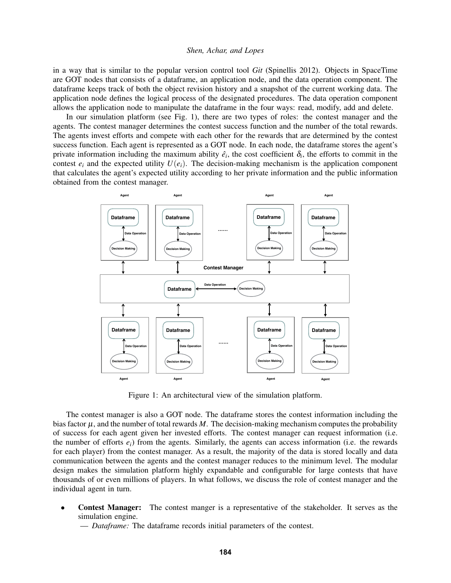in a way that is similar to the popular version control tool *Git* [\(Spinellis 2012\)](#page-11-18). Objects in SpaceTime are GOT nodes that consists of a dataframe, an application node, and the data operation component. The dataframe keeps track of both the object revision history and a snapshot of the current working data. The application node defines the logical process of the designated procedures. The data operation component allows the application node to manipulate the dataframe in the four ways: read, modify, add and delete.

In our simulation platform (see Fig. [1\)](#page-3-0), there are two types of roles: the contest manager and the agents. The contest manager determines the contest success function and the number of the total rewards. The agents invest efforts and compete with each other for the rewards that are determined by the contest success function. Each agent is represented as a GOT node. In each node, the dataframe stores the agent's private information including the maximum ability  $\hat{e}_i$ , the cost coefficient  $\delta_i$ , the efforts to commit in the contest  $e_i$  and the expected utility  $U(e_i)$ . The decision-making mechanism is the application component that calculates the agent's expected utility according to her private information and the public information obtained from the contest manager.

<span id="page-3-0"></span>

Figure 1: An architectural view of the simulation platform.

The contest manager is also a GOT node. The dataframe stores the contest information including the bias factor  $\mu$ , and the number of total rewards  $M$ . The decision-making mechanism computes the probability of success for each agent given her invested efforts. The contest manager can request information (i.e. the number of efforts  $e_i$ ) from the agents. Similarly, the agents can access information (i.e. the rewards for each player) from the contest manager. As a result, the majority of the data is stored locally and data communication between the agents and the contest manager reduces to the minimum level. The modular design makes the simulation platform highly expandable and configurable for large contests that have thousands of or even millions of players. In what follows, we discuss the role of contest manager and the individual agent in turn.

• Contest Manager: The contest manger is a representative of the stakeholder. It serves as the simulation engine.

— *Dataframe:* The dataframe records initial parameters of the contest.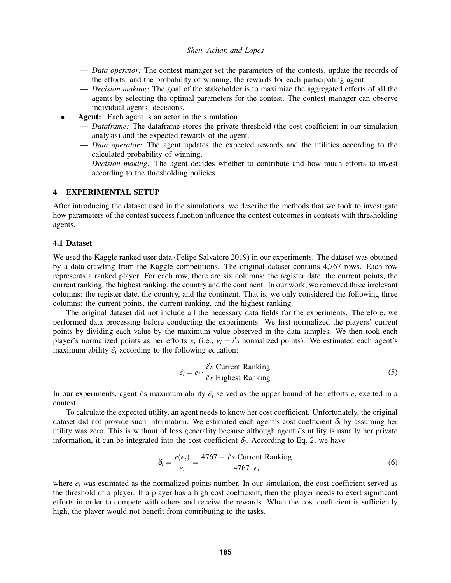- *Data operator:* The contest manager set the parameters of the contests, update the records of the efforts, and the probability of winning, the rewards for each participating agent.
- *Decision making:* The goal of the stakeholder is to maximize the aggregated efforts of all the agents by selecting the optimal parameters for the contest. The contest manager can observe individual agents' decisions.
- Agent: Each agent is an actor in the simulation.
	- *Dataframe:* The dataframe stores the private threshold (the cost coefficient in our simulation analysis) and the expected rewards of the agent.
	- *Data operator:* The agent updates the expected rewards and the utilities according to the calculated probability of winning.
	- *Decision making:* The agent decides whether to contribute and how much efforts to invest according to the thresholding policies.

## 4 EXPERIMENTAL SETUP

After introducing the dataset used in the simulations, we describe the methods that we took to investigate how parameters of the contest success function influence the contest outcomes in contests with thresholding agents.

# 4.1 Dataset

We used the Kaggle ranked user data [\(Felipe Salvatore 2019\)](#page-10-13) in our experiments. The dataset was obtained by a data crawling from the Kaggle competitions. The original dataset contains 4,767 rows. Each row represents a ranked player. For each row, there are six columns: the register date, the current points, the current ranking, the highest ranking, the country and the continent. In our work, we removed three irrelevant columns: the register date, the country, and the continent. That is, we only considered the following three columns: the current points, the current ranking, and the highest ranking.

The original dataset did not include all the necessary data fields for the experiments. Therefore, we performed data processing before conducting the experiments. We first normalized the players' current points by dividing each value by the maximum value observed in the data samples. We then took each player's normalized points as her efforts  $e_i$  (i.e.,  $e_i = i's$  normalized points). We estimated each agent's maximum ability  $\hat{e}_i$  according to the following equation:

$$
\hat{e}_i = e_i \cdot \frac{i's \text{ Current Ranking}}{i's \text{ Higher Ranking}} \tag{5}
$$

In our experiments, agent *i*'s maximum ability  $\hat{e}_i$  served as the upper bound of her efforts  $e_i$  exerted in a contest.

To calculate the expected utility, an agent needs to know her cost coefficient. Unfortunately, the original dataset did not provide such information. We estimated each agent's cost coefficient  $\delta_i$  by assuming her utility was zero. This is without of loss generality because although agent *i*'s utility is usually her private information, it can be integrated into the cost coefficient  $\delta_i$ . According to Eq. [2,](#page-1-0) we have

$$
\delta_i = \frac{r(e_i)}{e_i} = \frac{4767 - i's \text{ Current Ranking}}{4767 \cdot e_i} \tag{6}
$$

where  $e_i$  was estimated as the normalized points number. In our simulation, the cost coefficient served as the threshold of a player. If a player has a high cost coefficient, then the player needs to exert significant efforts in order to compete with others and receive the rewards. When the cost coefficient is sufficiently high, the player would not benefit from contributing to the tasks.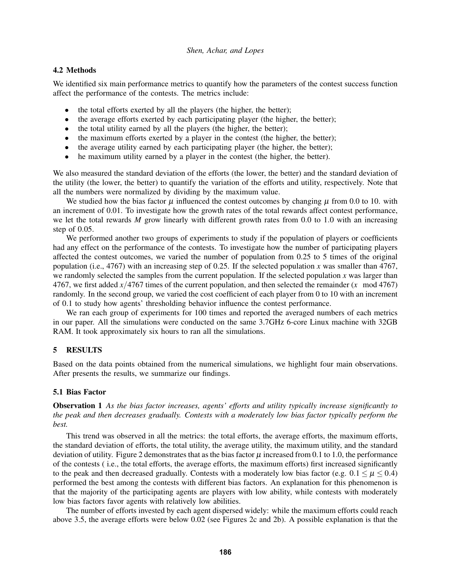# 4.2 Methods

We identified six main performance metrics to quantify how the parameters of the contest success function affect the performance of the contests. The metrics include:

- the total efforts exerted by all the players (the higher, the better);
- the average efforts exerted by each participating player (the higher, the better);
- the total utility earned by all the players (the higher, the better);
- the maximum efforts exerted by a player in the contest (the higher, the better);
- the average utility earned by each participating player (the higher, the better);
- he maximum utility earned by a player in the contest (the higher, the better).

We also measured the standard deviation of the efforts (the lower, the better) and the standard deviation of the utility (the lower, the better) to quantify the variation of the efforts and utility, respectively. Note that all the numbers were normalized by dividing by the maximum value.

We studied how the bias factor  $\mu$  influenced the contest outcomes by changing  $\mu$  from 0.0 to 10. with an increment of 0.01. To investigate how the growth rates of the total rewards affect contest performance, we let the total rewards *M* grow linearly with different growth rates from 0.0 to 1.0 with an increasing step of 0.05.

We performed another two groups of experiments to study if the population of players or coefficients had any effect on the performance of the contests. To investigate how the number of participating players affected the contest outcomes, we varied the number of population from 0.25 to 5 times of the original population (i.e., 4767) with an increasing step of 0.25. If the selected population *x* was smaller than 4767, we randomly selected the samples from the current population. If the selected population  $x$  was larger than 4767, we first added *x*/4767 times of the current population, and then selected the remainder (*x* mod 4767) randomly. In the second group, we varied the cost coefficient of each player from 0 to 10 with an increment of 0.1 to study how agents' thresholding behavior influence the contest performance.

We ran each group of experiments for 100 times and reported the averaged numbers of each metrics in our paper. All the simulations were conducted on the same 3.7GHz 6-core Linux machine with 32GB RAM. It took approximately six hours to ran all the simulations.

# 5 RESULTS

Based on the data points obtained from the numerical simulations, we highlight four main observations. After presents the results, we summarize our findings.

## 5.1 Bias Factor

<span id="page-5-0"></span>Observation 1 *As the bias factor increases, agents' efforts and utility typically increase significantly to the peak and then decreases gradually. Contests with a moderately low bias factor typically perform the best.*

This trend was observed in all the metrics: the total efforts, the average efforts, the maximum efforts, the standard deviation of efforts, the total utility, the average utility, the maximum utility, and the standard deviation of utility. Figure [2](#page-6-0) demonstrates that as the bias factor  $\mu$  increased from 0.1 to 1.0, the performance of the contests ( i.e., the total efforts, the average efforts, the maximum efforts) first increased significantly to the peak and then decreased gradually. Contests with a moderately low bias factor (e.g.  $0.1 < \mu < 0.4$ ) performed the best among the contests with different bias factors. An explanation for this phenomenon is that the majority of the participating agents are players with low ability, while contests with moderately low bias factors favor agents with relatively low abilities.

The number of efforts invested by each agent dispersed widely: while the maximum efforts could reach above 3.5, the average efforts were below 0.02 (see Figures [2c](#page-6-0) and [2b\)](#page-6-0). A possible explanation is that the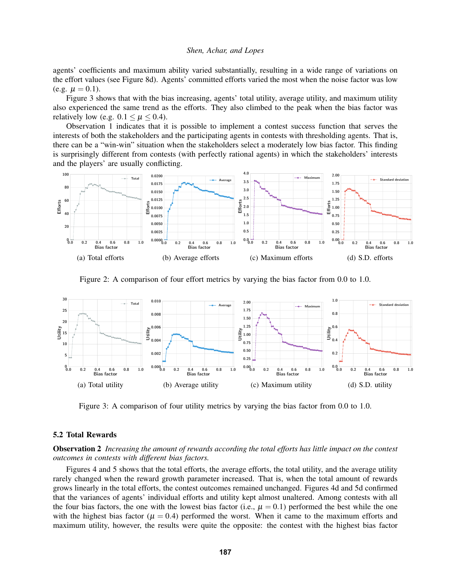agents' coefficients and maximum ability varied substantially, resulting in a wide range of variations on the effort values (see Figure [8d\)](#page-9-0). Agents' committed efforts varied the most when the noise factor was low (e.g.  $\mu = 0.1$ ).

Figure [3](#page-6-1) shows that with the bias increasing, agents' total utility, average utility, and maximum utility also experienced the same trend as the efforts. They also climbed to the peak when the bias factor was relatively low (e.g.  $0.1 \leq \mu \leq 0.4$ ).

Observation [1](#page-5-0) indicates that it is possible to implement a contest success function that serves the interests of both the stakeholders and the participating agents in contests with thresholding agents. That is, there can be a "win-win" situation when the stakeholders select a moderately low bias factor. This finding is surprisingly different from contests (with perfectly rational agents) in which the stakeholders' interests and the players' are usually conflicting.

<span id="page-6-0"></span>

Figure 2: A comparison of four effort metrics by varying the bias factor from 0.0 to 1.0.

<span id="page-6-1"></span>

Figure 3: A comparison of four utility metrics by varying the bias factor from 0.0 to 1.0.

### 5.2 Total Rewards

<span id="page-6-2"></span>Observation 2 *Increasing the amount of rewards according the total efforts has little impact on the contest outcomes in contests with different bias factors.*

Figures [4](#page-7-0) and [5](#page-7-1) shows that the total efforts, the average efforts, the total utility, and the average utility rarely changed when the reward growth parameter increased. That is, when the total amount of rewards grows linearly in the total efforts, the contest outcomes remained unchanged. Figures [4d](#page-7-0) and [5d](#page-7-1) confirmed that the variances of agents' individual efforts and utility kept almost unaltered. Among contests with all the four bias factors, the one with the lowest bias factor (i.e.,  $\mu = 0.1$ ) performed the best while the one with the highest bias factor ( $\mu = 0.4$ ) performed the worst. When it came to the maximum efforts and maximum utility, however, the results were quite the opposite: the contest with the highest bias factor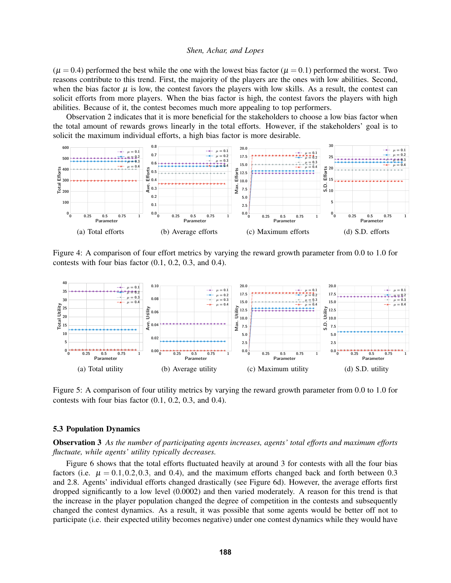$(\mu = 0.4)$  performed the best while the one with the lowest bias factor  $(\mu = 0.1)$  performed the worst. Two reasons contribute to this trend. First, the majority of the players are the ones with low abilities. Second, when the bias factor  $\mu$  is low, the contest favors the players with low skills. As a result, the contest can solicit efforts from more players. When the bias factor is high, the contest favors the players with high abilities. Because of it, the contest becomes much more appealing to top performers.

Observation [2](#page-6-2) indicates that it is more beneficial for the stakeholders to choose a low bias factor when the total amount of rewards grows linearly in the total efforts. However, if the stakeholders' goal is to solicit the maximum individual efforts, a high bias factor is more desirable.

<span id="page-7-0"></span>

Figure 4: A comparison of four effort metrics by varying the reward growth parameter from 0.0 to 1.0 for contests with four bias factor (0.1, 0.2, 0.3, and 0.4).

<span id="page-7-1"></span>

Figure 5: A comparison of four utility metrics by varying the reward growth parameter from 0.0 to 1.0 for contests with four bias factor (0.1, 0.2, 0.3, and 0.4).

## 5.3 Population Dynamics

<span id="page-7-2"></span>Observation 3 *As the number of participating agents increases, agents' total efforts and maximum efforts fluctuate, while agents' utility typically decreases.*

Figure [6](#page-8-0) shows that the total efforts fluctuated heavily at around 3 for contests with all the four bias factors (i.e.  $\mu = 0.1, 0.2, 0.3$ , and 0.4), and the maximum efforts changed back and forth between 0.3 and 2.8. Agents' individual efforts changed drastically (see Figure [6d\)](#page-8-0). However, the average efforts first dropped significantly to a low level (0.0002) and then varied moderately. A reason for this trend is that the increase in the player population changed the degree of competition in the contests and subsequently changed the contest dynamics. As a result, it was possible that some agents would be better off not to participate (i.e. their expected utility becomes negative) under one contest dynamics while they would have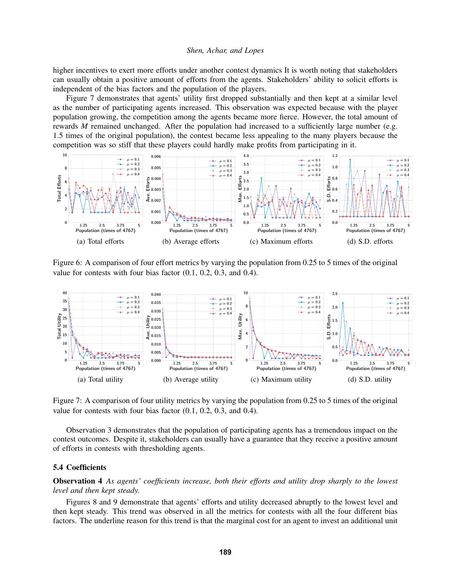higher incentives to exert more efforts under another contest dynamics It is worth noting that stakeholders can usually obtain a positive amount of efforts from the agents. Stakeholders' ability to solicit efforts is independent of the bias factors and the population of the players.

Figure [7](#page-8-1) demonstrates that agents' utility first dropped substantially and then kept at a similar level as the number of participating agents increased. This observation was expected because with the player population growing, the competition among the agents became more fierce. However, the total amount of rewards *M* remained unchanged. After the population had increased to a sufficiently large number (e.g. 1.5 times of the original population), the contest became less appealing to the many players because the competition was so stiff that these players could hardly make profits from participating in it.

<span id="page-8-0"></span>

Figure 6: A comparison of four effort metrics by varying the population from 0.25 to 5 times of the original value for contests with four bias factor (0.1, 0.2, 0.3, and 0.4).

<span id="page-8-1"></span>

Figure 7: A comparison of four utility metrics by varying the population from 0.25 to 5 times of the original value for contests with four bias factor (0.1, 0.2, 0.3, and 0.4).

Observation [3](#page-7-2) demonstrates that the population of participating agents has a tremendous impact on the contest outcomes. Despite it, stakeholders can usually have a guarantee that they receive a positive amount of efforts in contests with thresholding agents.

# 5.4 Coefficients

<span id="page-8-2"></span>Observation 4 *As agents' coefficients increase, both their efforts and utility drop sharply to the lowest level and then kept steady.*

Figures [8](#page-9-0) and [9](#page-9-1) demonstrate that agents' efforts and utility decreased abruptly to the lowest level and then kept steady. This trend was observed in all the metrics for contests with all the four different bias factors. The underline reason for this trend is that the marginal cost for an agent to invest an additional unit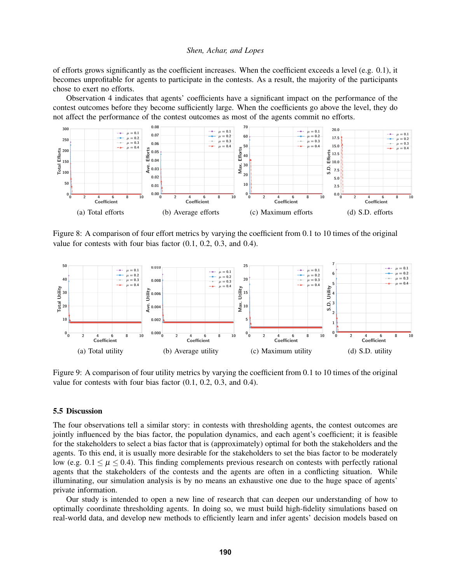of efforts grows significantly as the coefficient increases. When the coefficient exceeds a level (e.g. 0.1), it becomes unprofitable for agents to participate in the contests. As a result, the majority of the participants chose to exert no efforts.

Observation [4](#page-8-2) indicates that agents' coefficients have a significant impact on the performance of the contest outcomes before they become sufficiently large. When the coefficients go above the level, they do not affect the performance of the contest outcomes as most of the agents commit no efforts.

<span id="page-9-0"></span>

Figure 8: A comparison of four effort metrics by varying the coefficient from 0.1 to 10 times of the original value for contests with four bias factor (0.1, 0.2, 0.3, and 0.4).

<span id="page-9-1"></span>

Figure 9: A comparison of four utility metrics by varying the coefficient from 0.1 to 10 times of the original value for contests with four bias factor (0.1, 0.2, 0.3, and 0.4).

### 5.5 Discussion

The four observations tell a similar story: in contests with thresholding agents, the contest outcomes are jointly influenced by the bias factor, the population dynamics, and each agent's coefficient; it is feasible for the stakeholders to select a bias factor that is (approximately) optimal for both the stakeholders and the agents. To this end, it is usually more desirable for the stakeholders to set the bias factor to be moderately low (e.g.  $0.1 \leq \mu \leq 0.4$ ). This finding complements previous research on contests with perfectly rational agents that the stakeholders of the contests and the agents are often in a conflicting situation. While illuminating, our simulation analysis is by no means an exhaustive one due to the huge space of agents' private information.

Our study is intended to open a new line of research that can deepen our understanding of how to optimally coordinate thresholding agents. In doing so, we must build high-fidelity simulations based on real-world data, and develop new methods to efficiently learn and infer agents' decision models based on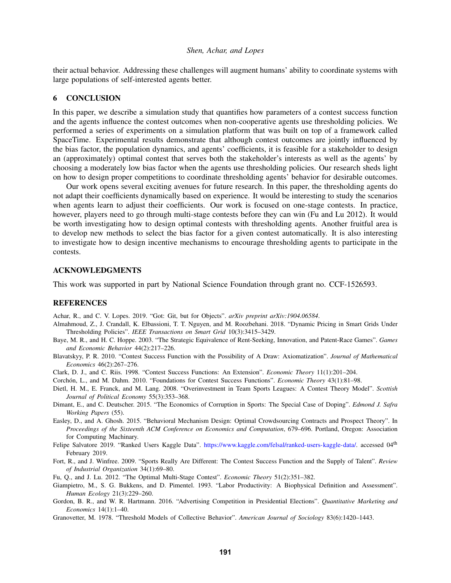their actual behavior. Addressing these challenges will augment humans' ability to coordinate systems with large populations of self-interested agents better.

# 6 CONCLUSION

In this paper, we describe a simulation study that quantifies how parameters of a contest success function and the agents influence the contest outcomes when non-cooperative agents use thresholding policies. We performed a series of experiments on a simulation platform that was built on top of a framework called SpaceTime. Experimental results demonstrate that although contest outcomes are jointly influenced by the bias factor, the population dynamics, and agents' coefficients, it is feasible for a stakeholder to design an (approximately) optimal contest that serves both the stakeholder's interests as well as the agents' by choosing a moderately low bias factor when the agents use thresholding policies. Our research sheds light on how to design proper competitions to coordinate thresholding agents' behavior for desirable outcomes.

Our work opens several exciting avenues for future research. In this paper, the thresholding agents do not adapt their coefficients dynamically based on experience. It would be interesting to study the scenarios when agents learn to adjust their coefficients. Our work is focused on one-stage contests. In practice, however, players need to go through multi-stage contests before they can win [\(Fu and Lu 2012\)](#page-10-14). It would be worth investigating how to design optimal contests with thresholding agents. Another fruitful area is to develop new methods to select the bias factor for a given contest automatically. It is also interesting to investigate how to design incentive mechanisms to encourage thresholding agents to participate in the contests.

### ACKNOWLEDGMENTS

This work was supported in part by National Science Foundation through grant no. CCF-1526593.

### REFERENCES

<span id="page-10-12"></span>Achar, R., and C. V. Lopes. 2019. "Got: Git, but for Objects". *arXiv preprint arXiv:1904.06584*.

- <span id="page-10-8"></span>Almahmoud, Z., J. Crandall, K. Elbassioni, T. T. Nguyen, and M. Roozbehani. 2018. "Dynamic Pricing in Smart Grids Under Thresholding Policies". *IEEE Transactions on Smart Grid* 10(3):3415–3429.
- <span id="page-10-2"></span>Baye, M. R., and H. C. Hoppe. 2003. "The Strategic Equivalence of Rent-Seeking, Innovation, and Patent-Race Games". *Games and Economic Behavior* 44(2):217–226.
- <span id="page-10-5"></span>Blavatskyy, P. R. 2010. "Contest Success Function with the Possibility of A Draw: Axiomatization". *Journal of Mathematical Economics* 46(2):267–276.
- <span id="page-10-4"></span>Clark, D. J., and C. Riis. 1998. "Contest Success Functions: An Extension". *Economic Theory* 11(1):201–204.
- <span id="page-10-3"></span>Corchón, L., and M. Dahm. 2010. "Foundations for Contest Success Functions". *Economic Theory* 43(1):81-98.
- <span id="page-10-11"></span>Dietl, H. M., E. Franck, and M. Lang. 2008. "Overinvestment in Team Sports Leagues: A Contest Theory Model". *Scottish Journal of Political Economy* 55(3):353–368.
- <span id="page-10-6"></span>Dimant, E., and C. Deutscher. 2015. "The Economics of Corruption in Sports: The Special Case of Doping". *Edmond J. Safra Working Papers* (55).
- <span id="page-10-7"></span>Easley, D., and A. Ghosh. 2015. "Behavioral Mechanism Design: Optimal Crowdsourcing Contracts and Prospect Theory". In *Proceedings of the Sixteenth ACM Conference on Economics and Computation*, 679–696. Portland, Oregon: Association for Computing Machinary.
- <span id="page-10-13"></span>Felipe Salvatore 2019. "Ranked Users Kaggle Data". [https://www.kaggle.com/felsal/ranked-users-kaggle-data/.](https://www.kaggle.com/felsal/ranked-users-kaggle-data/) accessed 04<sup>th</sup> February 2019.
- <span id="page-10-0"></span>Fort, R., and J. Winfree. 2009. "Sports Really Are Different: The Contest Success Function and the Supply of Talent". *Review of Industrial Organization* 34(1):69–80.
- <span id="page-10-14"></span>Fu, Q., and J. Lu. 2012. "The Optimal Multi-Stage Contest". *Economic Theory* 51(2):351–382.
- <span id="page-10-10"></span>Giampietro, M., S. G. Bukkens, and D. Pimentel. 1993. "Labor Productivity: A Biophysical Definition and Assessment". *Human Ecology* 21(3):229–260.
- <span id="page-10-1"></span>Gordon, B. R., and W. R. Hartmann. 2016. "Advertising Competition in Presidential Elections". *Quantitative Marketing and Economics* 14(1):1–40.
- <span id="page-10-9"></span>Granovetter, M. 1978. "Threshold Models of Collective Behavior". *American Journal of Sociology* 83(6):1420–1443.